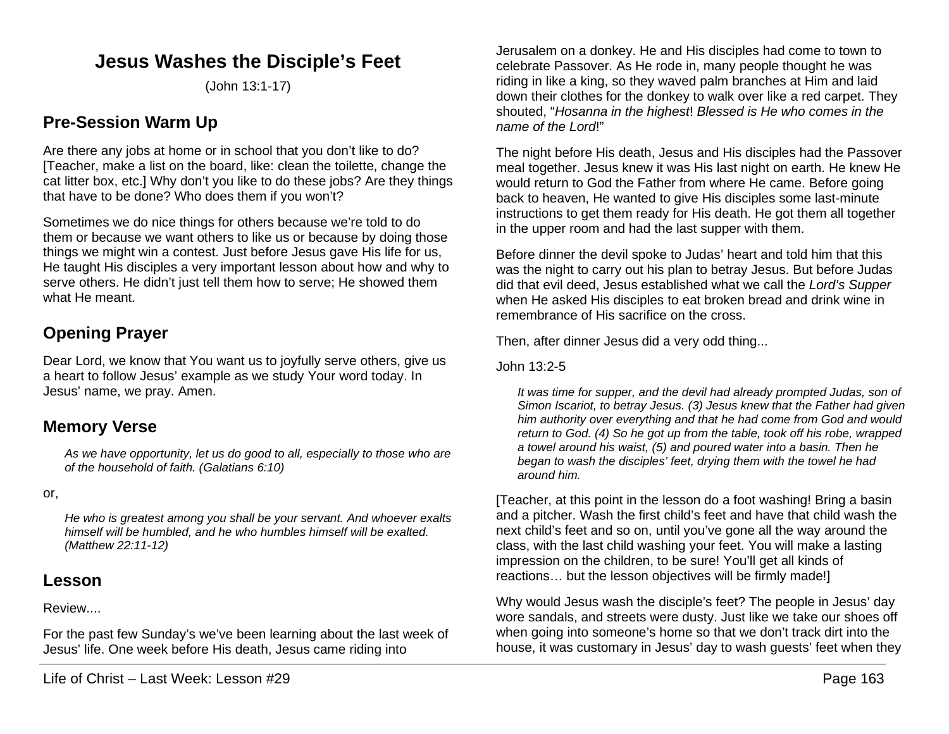## **Jesus Washes the Disciple's Feet**

(John 13:1-17)

### **Pre-Session Warm Up**

Are there any jobs at home or in school that you don't like to do? [Teacher, make a list on the board, like: clean the toilette, change the cat litter box, etc.] Why don't you like to do these jobs? Are they things that have to be done? Who does them if you won't?

Sometimes we do nice things for others because we're told to do them or because we want others to like us or because by doing those things we might win a contest. Just before Jesus gave His life for us, He taught His disciples a very important lesson about how and why to serve others. He didn't just tell them how to serve; He showed them what He meant.

# **Opening Prayer**

Dear Lord, we know that You want us to joyfully serve others, give us a heart to follow Jesus' example as we study Your word today. In Jesus' name, we pray. Amen.

### **Memory Verse**

*As we have opportunity, let us do good to all, especially to those who are of the household of faith. (Galatians 6:10)*

or,

*He who is greatest among you shall be your servant. And whoever exalts himself will be humbled, and he who humbles himself will be exalted. (Matthew 22:11-12)*

### **Lesson**

#### Review....

For the past few Sunday's we've been learning about the last week of Jesus' life. One week before His death, Jesus came riding into

Jerusalem on a donkey. He and His disciples had come to town to celebrate Passover. As He rode in, many people thought he was riding in like a king, so they waved palm branches at Him and laid down their clothes for the donkey to walk over like a red carpet. They shouted, "*Hosanna in the highest*! *Blessed is He who comes in the name of the Lord*!"

The night before His death, Jesus and His disciples had the Passover meal together. Jesus knew it was His last night on earth. He knew He would return to God the Father from where He came. Before going back to heaven, He wanted to give His disciples some last-minute instructions to get them ready for His death. He got them all together in the upper room and had the last supper with them.

Before dinner the devil spoke to Judas' heart and told him that this was the night to carry out his plan to betray Jesus. But before Judas did that evil deed, Jesus established what we call the *Lord's Supper* when He asked His disciples to eat broken bread and drink wine in remembrance of His sacrifice on the cross.

Then, after dinner Jesus did a very odd thing...

#### John 13:2-5

*It was time for supper, and the devil had already prompted Judas, son of Simon Iscariot, to betray Jesus. (3) Jesus knew that the Father had given him authority over everything and that he had come from God and would return to God. (4) So he got up from the table, took off his robe, wrapped a towel around his waist, (5) and poured water into a basin. Then he began to wash the disciples' feet, drying them with the towel he had around him.*

[Teacher, at this point in the lesson do a foot washing! Bring a basin and a pitcher. Wash the first child's feet and have that child wash the next child's feet and so on, until you've gone all the way around the class, with the last child washing your feet. You will make a lasting impression on the children, to be sure! You'll get all kinds of reactions… but the lesson objectives will be firmly made!]

Why would Jesus wash the disciple's feet? The people in Jesus' day wore sandals, and streets were dusty. Just like we take our shoes off when going into someone's home so that we don't track dirt into the house, it was customary in Jesus' day to wash guests' feet when they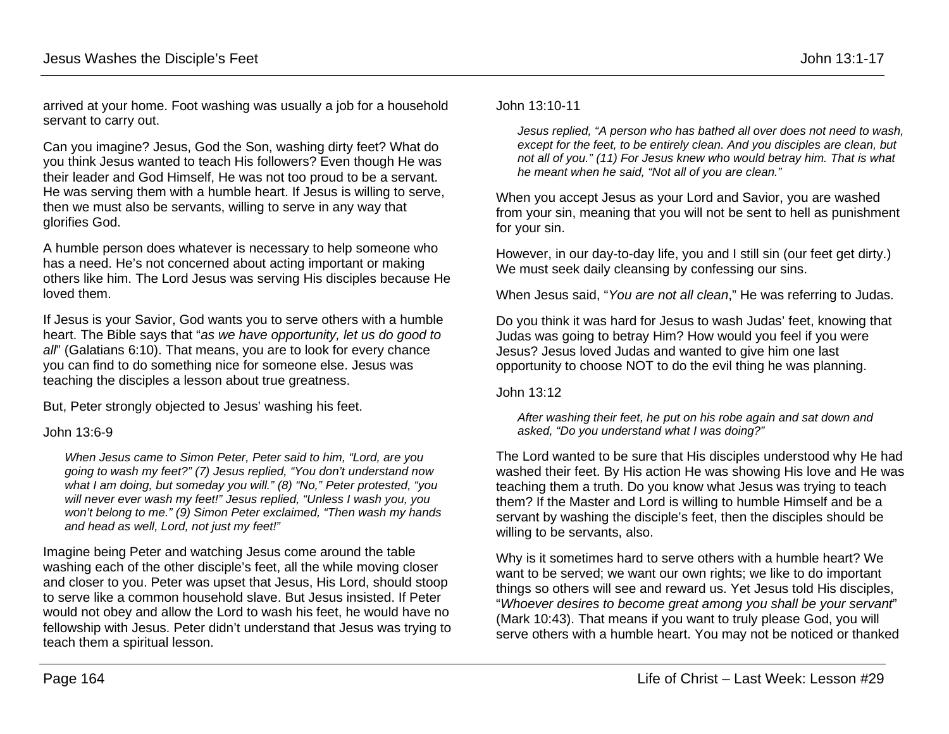arrived at your home. Foot washing was usually a job for a household servant to carry out.

Can you imagine? Jesus, God the Son, washing dirty feet? What do you think Jesus wanted to teach His followers? Even though He was their leader and God Himself, He was not too proud to be a servant. He was serving them with a humble heart. If Jesus is willing to serve, then we must also be servants, willing to serve in any way that glorifies God.

A humble person does whatever is necessary to help someone who has a need. He's not concerned about acting important or making others like him. The Lord Jesus was serving His disciples because He loved them.

If Jesus is your Savior, God wants you to serve others with a humble heart. The Bible says that "*as we have opportunity, let us do good to all*" (Galatians 6:10). That means, you are to look for every chance you can find to do something nice for someone else. Jesus was teaching the disciples a lesson about true greatness.

But, Peter strongly objected to Jesus' washing his feet.

#### John 13:6-9

*When Jesus came to Simon Peter, Peter said to him, "Lord, are you going to wash my feet?" (7) Jesus replied, "You don't understand now what I am doing, but someday you will." (8) "No," Peter protested, "you will never ever wash my feet!" Jesus replied, "Unless I wash you, you won't belong to me." (9) Simon Peter exclaimed, "Then wash my hands and head as well, Lord, not just my feet!"*

Imagine being Peter and watching Jesus come around the table washing each of the other disciple's feet, all the while moving closer and closer to you. Peter was upset that Jesus, His Lord, should stoop to serve like a common household slave. But Jesus insisted. If Peter would not obey and allow the Lord to wash his feet, he would have no fellowship with Jesus. Peter didn't understand that Jesus was trying to teach them a spiritual lesson.

#### John 13:10-11

*Jesus replied, "A person who has bathed all over does not need to wash, except for the feet, to be entirely clean. And you disciples are clean, but not all of you." (11) For Jesus knew who would betray him. That is what he meant when he said, "Not all of you are clean."*

When you accept Jesus as your Lord and Savior, you are washed from your sin, meaning that you will not be sent to hell as punishment for your sin.

However, in our day-to-day life, you and I still sin (our feet get dirty.) We must seek daily cleansing by confessing our sins.

When Jesus said, "*You are not all clean*," He was referring to Judas.

Do you think it was hard for Jesus to wash Judas' feet, knowing that Judas was going to betray Him? How would you feel if you were Jesus? Jesus loved Judas and wanted to give him one last opportunity to choose NOT to do the evil thing he was planning.

John 13:12

*After washing their feet, he put on his robe again and sat down and asked, "Do you understand what I was doing?"*

The Lord wanted to be sure that His disciples understood why He had washed their feet. By His action He was showing His love and He was teaching them a truth. Do you know what Jesus was trying to teach them? If the Master and Lord is willing to humble Himself and be a servant by washing the disciple's feet, then the disciples should be willing to be servants, also.

Why is it sometimes hard to serve others with a humble heart? We want to be served; we want our own rights; we like to do important things so others will see and reward us. Yet Jesus told His disciples, "*Whoever desires to become great among you shall be your servant*" (Mark 10:43). That means if you want to truly please God, you will serve others with a humble heart. You may not be noticed or thanked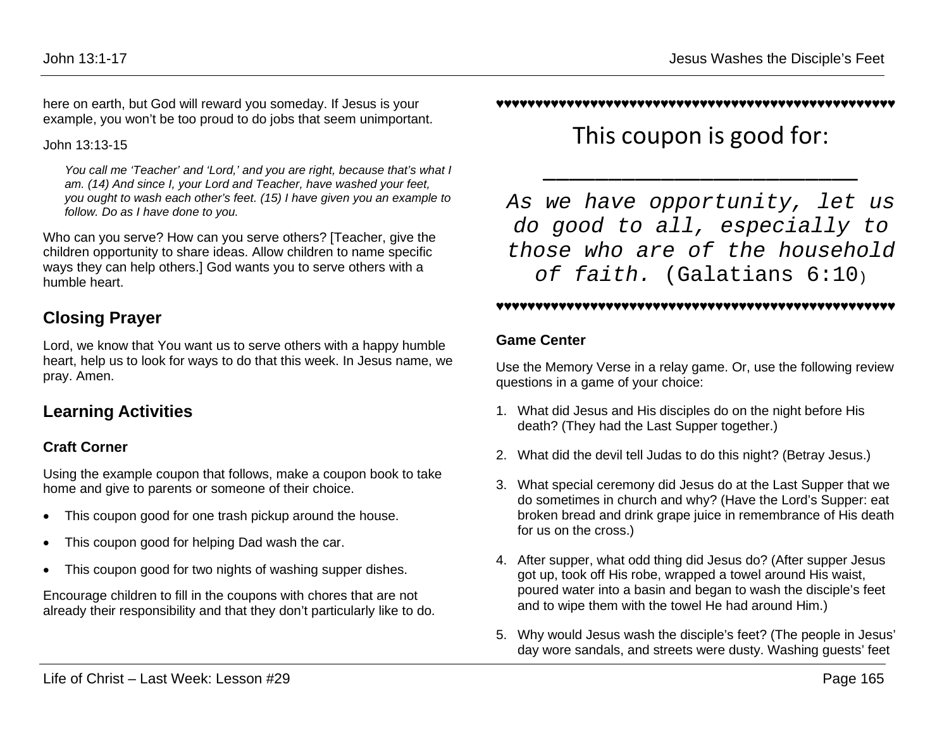here on earth, but God will reward you someday. If Jesus is your example, you won't be too proud to do jobs that seem unimportant.

John 13:13-15

*You call me 'Teacher' and 'Lord,' and you are right, because that's what I am. (14) And since I, your Lord and Teacher, have washed your feet, you ought to wash each other's feet. (15) I have given you an example to follow. Do as I have done to you.*

Who can you serve? How can you serve others? [Teacher, give the children opportunity to share ideas. Allow children to name specific ways they can help others.] God wants you to serve others with a humble heart.

## **Closing Prayer**

Lord, we know that You want us to serve others with a happy humble heart, help us to look for ways to do that this week. In Jesus name, we pray. Amen.

# **Learning Activities**

### **Craft Corner**

Using the example coupon that follows, make a coupon book to take home and give to parents or someone of their choice.

- This coupon good for one trash pickup around the house.
- This coupon good for helping Dad wash the car.
- This coupon good for two nights of washing supper dishes.

Encourage children to fill in the coupons with chores that are not already their responsibility and that they don't particularly like to do.

#### ♥♥♥♥♥♥♥♥♥♥♥♥♥♥♥♥♥♥♥♥♥♥♥♥♥♥♥♥♥♥♥♥♥♥♥♥♥♥♥♥♥♥♥♥♥♥♥♥♥♥♥

This coupon is good for:

\_\_\_\_\_\_\_\_\_\_\_\_\_\_\_\_\_\_\_\_\_\_\_\_

*As we have opportunity, let us do good to all, especially to those who are of the household of faith.* (Galatians 6:10)

#### ♥♥♥♥♥♥♥♥♥♥♥♥♥♥♥♥♥♥♥♥♥♥♥♥♥♥♥♥♥♥♥♥♥♥♥♥♥♥♥♥♥♥♥♥♥♥♥♥♥♥♥

### **Game Center**

Use the Memory Verse in a relay game. Or, use the following review questions in a game of your choice:

- 1. What did Jesus and His disciples do on the night before His death? (They had the Last Supper together.)
- 2. What did the devil tell Judas to do this night? (Betray Jesus.)
- 3. What special ceremony did Jesus do at the Last Supper that we do sometimes in church and why? (Have the Lord's Supper: eat broken bread and drink grape juice in remembrance of His death for us on the cross.)
- 4. After supper, what odd thing did Jesus do? (After supper Jesus got up, took off His robe, wrapped a towel around His waist, poured water into a basin and began to wash the disciple's feet and to wipe them with the towel He had around Him.)
- 5. Why would Jesus wash the disciple's feet? (The people in Jesus' day wore sandals, and streets were dusty. Washing guests' feet